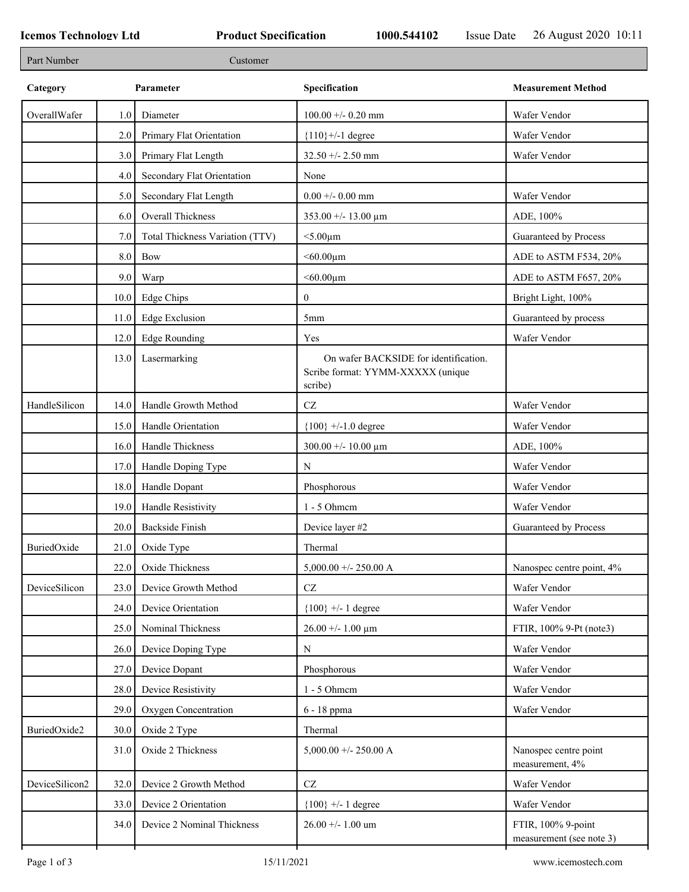٦

| Part Number    |           | Customer                        |                                                                                       |                                                |  |
|----------------|-----------|---------------------------------|---------------------------------------------------------------------------------------|------------------------------------------------|--|
| Category       | Parameter |                                 | Specification                                                                         | <b>Measurement Method</b>                      |  |
| OverallWafer   | 1.0       | Diameter                        | $100.00 + -0.20$ mm                                                                   | Wafer Vendor                                   |  |
|                | 2.0       | Primary Flat Orientation        | ${110}$ +/-1 degree                                                                   | Wafer Vendor                                   |  |
|                | 3.0       | Primary Flat Length             | $32.50 + - 2.50$ mm                                                                   | Wafer Vendor                                   |  |
|                | 4.0       | Secondary Flat Orientation      | None                                                                                  |                                                |  |
|                | 5.0       | Secondary Flat Length           | $0.00 + 0.00$ mm                                                                      | Wafer Vendor                                   |  |
|                | 6.0       | Overall Thickness               | $353.00 + - 13.00 \mu m$                                                              | ADE, 100%                                      |  |
|                | 7.0       | Total Thickness Variation (TTV) | $<$ 5.00 $\mu$ m                                                                      | Guaranteed by Process                          |  |
|                | $8.0\,$   | Bow                             | $<$ 60.00 $\mu$ m                                                                     | ADE to ASTM F534, 20%                          |  |
|                | 9.0       | Warp                            | $<$ 60.00 $\mu$ m                                                                     | ADE to ASTM F657, 20%                          |  |
|                | 10.0      | Edge Chips                      | $\boldsymbol{0}$                                                                      | Bright Light, 100%                             |  |
|                | 11.0      | <b>Edge Exclusion</b>           | 5 <sub>mm</sub>                                                                       | Guaranteed by process                          |  |
|                | 12.0      | <b>Edge Rounding</b>            | Yes                                                                                   | Wafer Vendor                                   |  |
|                | 13.0      | Lasermarking                    | On wafer BACKSIDE for identification.<br>Scribe format: YYMM-XXXXX (unique<br>scribe) |                                                |  |
| HandleSilicon  | 14.0      | Handle Growth Method            | $\operatorname{CZ}$                                                                   | Wafer Vendor                                   |  |
|                | 15.0      | Handle Orientation              | ${100}$ +/-1.0 degree                                                                 | Wafer Vendor                                   |  |
|                | 16.0      | Handle Thickness                | $300.00 + - 10.00 \mu m$                                                              | ADE, 100%                                      |  |
|                | 17.0      | Handle Doping Type              | N                                                                                     | Wafer Vendor                                   |  |
|                | 18.0      | Handle Dopant                   | Phosphorous                                                                           | Wafer Vendor                                   |  |
|                | 19.0      | Handle Resistivity              | $1 - 5$ Ohmem                                                                         | Wafer Vendor                                   |  |
|                | 20.0      | <b>Backside Finish</b>          | Device layer #2                                                                       | Guaranteed by Process                          |  |
| BuriedOxide    | 21.0      | Oxide Type                      | Thermal                                                                               |                                                |  |
|                | 22.0      | Oxide Thickness                 | 5,000.00 +/- 250.00 A                                                                 | Nanospec centre point, 4%                      |  |
| DeviceSilicon  | 23.0      | Device Growth Method            | $\operatorname{CZ}$                                                                   | Wafer Vendor                                   |  |
|                | 24.0      | Device Orientation              | ${100}$ +/- 1 degree                                                                  | Wafer Vendor                                   |  |
|                | 25.0      | Nominal Thickness               | $26.00 + - 1.00 \mu m$                                                                | FTIR, 100% 9-Pt (note3)                        |  |
|                | 26.0      | Device Doping Type              | N                                                                                     | Wafer Vendor                                   |  |
|                | 27.0      | Device Dopant                   | Phosphorous                                                                           | Wafer Vendor                                   |  |
|                | 28.0      | Device Resistivity              | 1 - 5 Ohmem                                                                           | Wafer Vendor                                   |  |
|                | 29.0      | Oxygen Concentration            | 6 - 18 ppma                                                                           | Wafer Vendor                                   |  |
| BuriedOxide2   | 30.0      | Oxide 2 Type                    | Thermal                                                                               |                                                |  |
|                | 31.0      | Oxide 2 Thickness               | $5,000.00 +/- 250.00 A$                                                               | Nanospec centre point<br>measurement, 4%       |  |
| DeviceSilicon2 | 32.0      | Device 2 Growth Method          | $\operatorname{CZ}$                                                                   | Wafer Vendor                                   |  |
|                | 33.0      | Device 2 Orientation            | ${100}$ +/- 1 degree                                                                  | Wafer Vendor                                   |  |
|                | 34.0      | Device 2 Nominal Thickness      | $26.00 + - 1.00$ um                                                                   | FTIR, 100% 9-point<br>measurement (see note 3) |  |
|                |           |                                 |                                                                                       |                                                |  |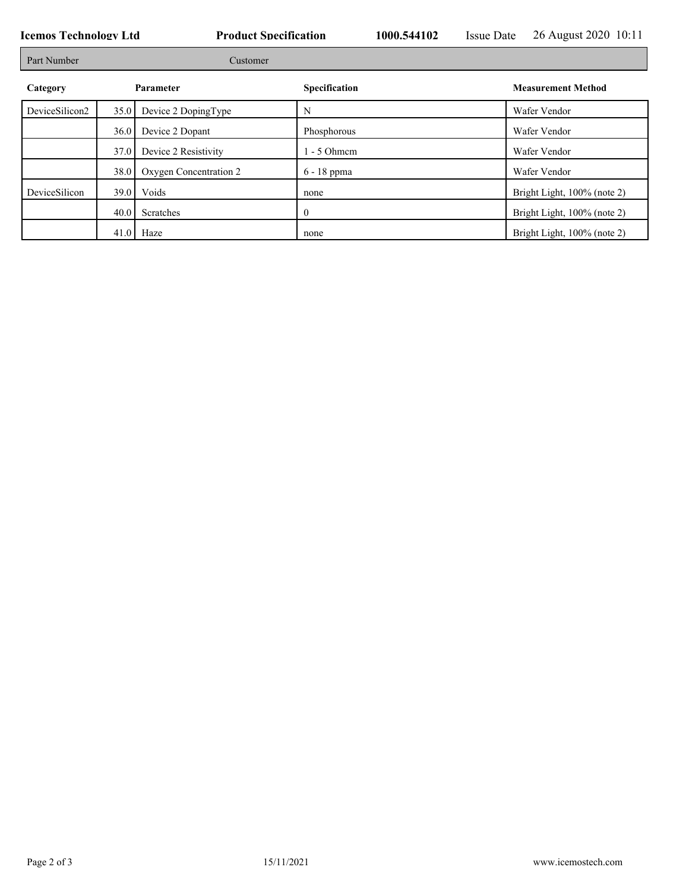| <b>Icemos Technology Ltd</b> |          |                        | <b>Product Specification</b> |  | <b>Issue Date</b> | 26 August 2020 10:11        |
|------------------------------|----------|------------------------|------------------------------|--|-------------------|-----------------------------|
| Part Number                  | Customer |                        |                              |  |                   |                             |
| Category                     |          | Parameter              | Specification                |  |                   | <b>Measurement Method</b>   |
| DeviceSilicon2               | 35.0     | Device 2 DopingType    | N                            |  |                   | Wafer Vendor                |
|                              | 36.0     | Device 2 Dopant        | Phosphorous                  |  |                   | Wafer Vendor                |
|                              | 37.0     | Device 2 Resistivity   | $1 - 5$ Ohmem                |  |                   | Wafer Vendor                |
|                              | 38.0     | Oxygen Concentration 2 | 6 - 18 ppma                  |  |                   | Wafer Vendor                |
| DeviceSilicon                | 39.0     | Voids                  | none                         |  |                   | Bright Light, 100% (note 2) |
|                              | 40.0     | Scratches              |                              |  |                   | Bright Light, 100% (note 2) |
|                              |          | $41.0$ Haze            | none                         |  |                   | Bright Light, 100% (note 2) |